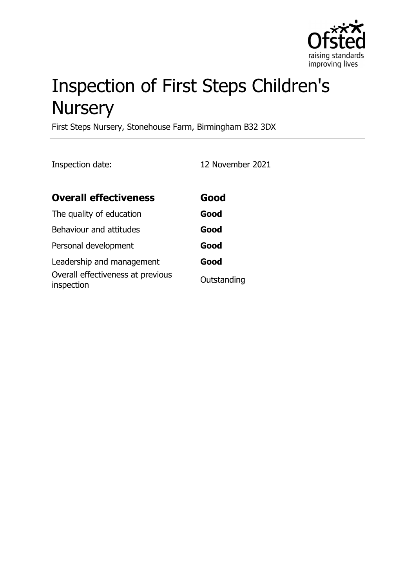

# Inspection of First Steps Children's **Nursery**

First Steps Nursery, Stonehouse Farm, Birmingham B32 3DX

Inspection date: 12 November 2021

| <b>Overall effectiveness</b>                    | Good        |
|-------------------------------------------------|-------------|
| The quality of education                        | Good        |
| Behaviour and attitudes                         | Good        |
| Personal development                            | Good        |
| Leadership and management                       | Good        |
| Overall effectiveness at previous<br>inspection | Outstanding |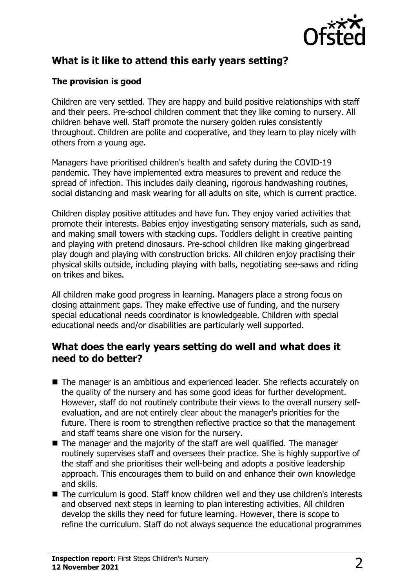

## **What is it like to attend this early years setting?**

#### **The provision is good**

Children are very settled. They are happy and build positive relationships with staff and their peers. Pre-school children comment that they like coming to nursery. All children behave well. Staff promote the nursery golden rules consistently throughout. Children are polite and cooperative, and they learn to play nicely with others from a young age.

Managers have prioritised children's health and safety during the COVID-19 pandemic. They have implemented extra measures to prevent and reduce the spread of infection. This includes daily cleaning, rigorous handwashing routines, social distancing and mask wearing for all adults on site, which is current practice.

Children display positive attitudes and have fun. They enjoy varied activities that promote their interests. Babies enjoy investigating sensory materials, such as sand, and making small towers with stacking cups. Toddlers delight in creative painting and playing with pretend dinosaurs. Pre-school children like making gingerbread play dough and playing with construction bricks. All children enjoy practising their physical skills outside, including playing with balls, negotiating see-saws and riding on trikes and bikes.

All children make good progress in learning. Managers place a strong focus on closing attainment gaps. They make effective use of funding, and the nursery special educational needs coordinator is knowledgeable. Children with special educational needs and/or disabilities are particularly well supported.

#### **What does the early years setting do well and what does it need to do better?**

- The manager is an ambitious and experienced leader. She reflects accurately on the quality of the nursery and has some good ideas for further development. However, staff do not routinely contribute their views to the overall nursery selfevaluation, and are not entirely clear about the manager's priorities for the future. There is room to strengthen reflective practice so that the management and staff teams share one vision for the nursery.
- $\blacksquare$  The manager and the majority of the staff are well qualified. The manager routinely supervises staff and oversees their practice. She is highly supportive of the staff and she prioritises their well-being and adopts a positive leadership approach. This encourages them to build on and enhance their own knowledge and skills.
- The curriculum is good. Staff know children well and they use children's interests and observed next steps in learning to plan interesting activities. All children develop the skills they need for future learning. However, there is scope to refine the curriculum. Staff do not always sequence the educational programmes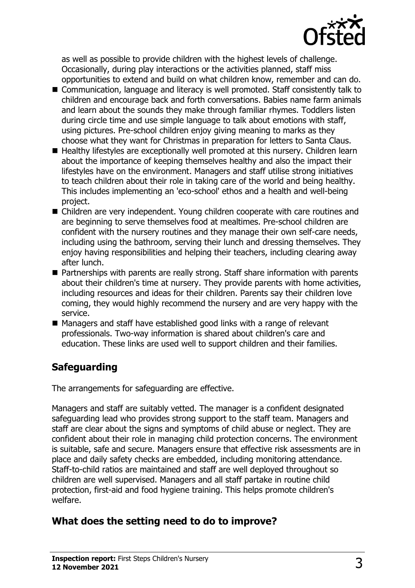

as well as possible to provide children with the highest levels of challenge. Occasionally, during play interactions or the activities planned, staff miss opportunities to extend and build on what children know, remember and can do.

- Communication, language and literacy is well promoted. Staff consistently talk to children and encourage back and forth conversations. Babies name farm animals and learn about the sounds they make through familiar rhymes. Toddlers listen during circle time and use simple language to talk about emotions with staff, using pictures. Pre-school children enjoy giving meaning to marks as they choose what they want for Christmas in preparation for letters to Santa Claus.
- $\blacksquare$  Healthy lifestyles are exceptionally well promoted at this nursery. Children learn about the importance of keeping themselves healthy and also the impact their lifestyles have on the environment. Managers and staff utilise strong initiatives to teach children about their role in taking care of the world and being healthy. This includes implementing an 'eco-school' ethos and a health and well-being project.
- Children are very independent. Young children cooperate with care routines and are beginning to serve themselves food at mealtimes. Pre-school children are confident with the nursery routines and they manage their own self-care needs, including using the bathroom, serving their lunch and dressing themselves. They enjoy having responsibilities and helping their teachers, including clearing away after lunch.
- Partnerships with parents are really strong. Staff share information with parents about their children's time at nursery. They provide parents with home activities, including resources and ideas for their children. Parents say their children love coming, they would highly recommend the nursery and are very happy with the service.
- $\blacksquare$  Managers and staff have established good links with a range of relevant professionals. Two-way information is shared about children's care and education. These links are used well to support children and their families.

## **Safeguarding**

The arrangements for safeguarding are effective.

Managers and staff are suitably vetted. The manager is a confident designated safeguarding lead who provides strong support to the staff team. Managers and staff are clear about the signs and symptoms of child abuse or neglect. They are confident about their role in managing child protection concerns. The environment is suitable, safe and secure. Managers ensure that effective risk assessments are in place and daily safety checks are embedded, including monitoring attendance. Staff-to-child ratios are maintained and staff are well deployed throughout so children are well supervised. Managers and all staff partake in routine child protection, first-aid and food hygiene training. This helps promote children's welfare.

## **What does the setting need to do to improve?**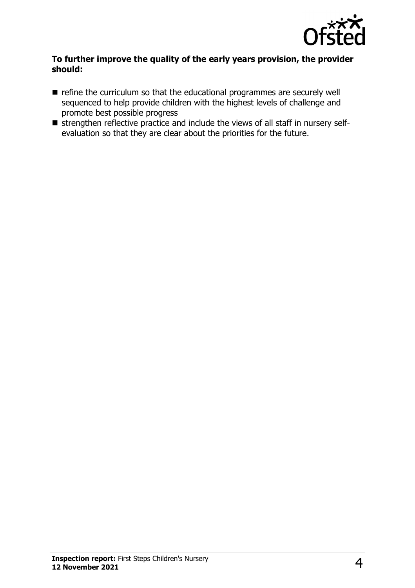

#### **To further improve the quality of the early years provision, the provider should:**

- $\blacksquare$  refine the curriculum so that the educational programmes are securely well sequenced to help provide children with the highest levels of challenge and promote best possible progress
- $\blacksquare$  strengthen reflective practice and include the views of all staff in nursery selfevaluation so that they are clear about the priorities for the future.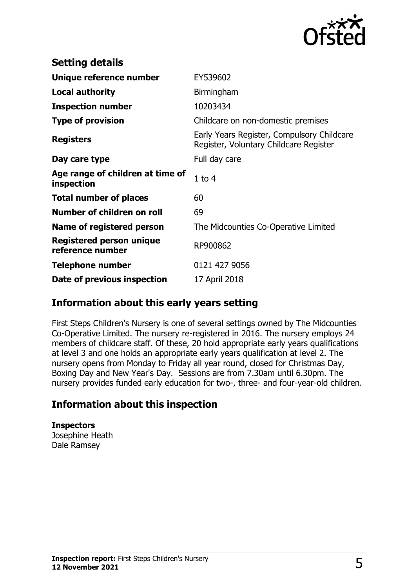

| <b>Setting details</b>                              |                                                                                      |
|-----------------------------------------------------|--------------------------------------------------------------------------------------|
| Unique reference number                             | EY539602                                                                             |
| <b>Local authority</b>                              | Birmingham                                                                           |
| <b>Inspection number</b>                            | 10203434                                                                             |
| <b>Type of provision</b>                            | Childcare on non-domestic premises                                                   |
| <b>Registers</b>                                    | Early Years Register, Compulsory Childcare<br>Register, Voluntary Childcare Register |
| Day care type                                       | Full day care                                                                        |
| Age range of children at time of<br>inspection      | $1$ to $4$                                                                           |
| <b>Total number of places</b>                       | 60                                                                                   |
| Number of children on roll                          | 69                                                                                   |
| Name of registered person                           | The Midcounties Co-Operative Limited                                                 |
| <b>Registered person unique</b><br>reference number | RP900862                                                                             |
| <b>Telephone number</b>                             | 0121 427 9056                                                                        |
| Date of previous inspection                         | 17 April 2018                                                                        |

#### **Information about this early years setting**

First Steps Children's Nursery is one of several settings owned by The Midcounties Co-Operative Limited. The nursery re-registered in 2016. The nursery employs 24 members of childcare staff. Of these, 20 hold appropriate early years qualifications at level 3 and one holds an appropriate early years qualification at level 2. The nursery opens from Monday to Friday all year round, closed for Christmas Day, Boxing Day and New Year's Day. Sessions are from 7.30am until 6.30pm. The nursery provides funded early education for two-, three- and four-year-old children.

## **Information about this inspection**

**Inspectors** Josephine Heath Dale Ramsey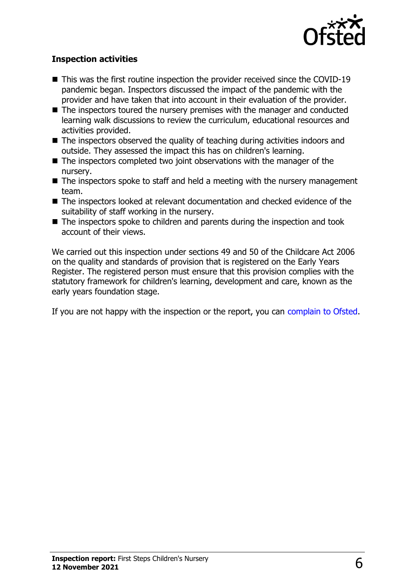

#### **Inspection activities**

- $\blacksquare$  This was the first routine inspection the provider received since the COVID-19 pandemic began. Inspectors discussed the impact of the pandemic with the provider and have taken that into account in their evaluation of the provider.
- $\blacksquare$  The inspectors toured the nursery premises with the manager and conducted learning walk discussions to review the curriculum, educational resources and activities provided.
- $\blacksquare$  The inspectors observed the quality of teaching during activities indoors and outside. They assessed the impact this has on children's learning.
- $\blacksquare$  The inspectors completed two joint observations with the manager of the nursery.
- $\blacksquare$  The inspectors spoke to staff and held a meeting with the nursery management team.
- $\blacksquare$  The inspectors looked at relevant documentation and checked evidence of the suitability of staff working in the nursery.
- $\blacksquare$  The inspectors spoke to children and parents during the inspection and took account of their views.

We carried out this inspection under sections 49 and 50 of the Childcare Act 2006 on the quality and standards of provision that is registered on the Early Years Register. The registered person must ensure that this provision complies with the statutory framework for children's learning, development and care, known as the early years foundation stage.

If you are not happy with the inspection or the report, you can [complain to Ofsted](http://www.gov.uk/complain-ofsted-report).